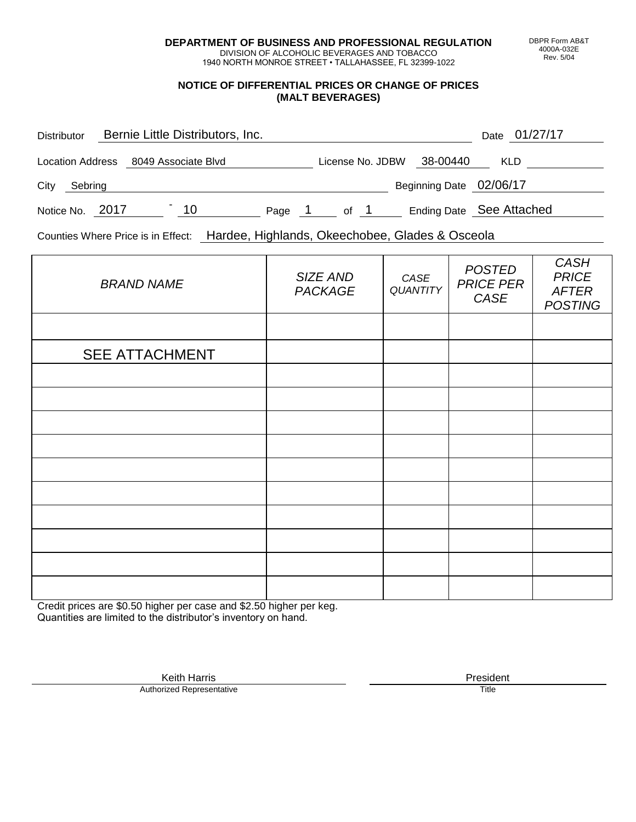**DEPARTMENT OF BUSINESS AND PROFESSIONAL REGULATION** DIVISION OF ALCOHOLIC BEVERAGES AND TOBACCO

1940 NORTH MONROE STREET • TALLAHASSEE, FL 32399-1022

## **NOTICE OF DIFFERENTIAL PRICES OR CHANGE OF PRICES (MALT BEVERAGES)**

| <b>Distributor</b>      | Bernie Little Distributors, Inc. |        |                  |                         | 01/27/17<br>Date         |
|-------------------------|----------------------------------|--------|------------------|-------------------------|--------------------------|
| <b>Location Address</b> | 8049 Associate Blvd              |        | License No. JDBW | 38-00440                | <b>KLD</b>               |
| City<br>Sebring         |                                  |        |                  | Beginning Date 02/06/17 |                          |
| Notice No. 2017         | 10                               | Page 1 | of 1             |                         | Ending Date See Attached |

Counties Where Price is in Effect: Hardee, Highlands, Okeechobee, Glades & Osceola

| <b>BRAND NAME</b>     | SIZE AND<br>PACKAGE | CASE<br><b>QUANTITY</b> | <b>POSTED</b><br><b>PRICE PER</b><br>CASE | <b>CASH</b><br><b>PRICE</b><br><b>AFTER</b><br><b>POSTING</b> |
|-----------------------|---------------------|-------------------------|-------------------------------------------|---------------------------------------------------------------|
|                       |                     |                         |                                           |                                                               |
| <b>SEE ATTACHMENT</b> |                     |                         |                                           |                                                               |
|                       |                     |                         |                                           |                                                               |
|                       |                     |                         |                                           |                                                               |
|                       |                     |                         |                                           |                                                               |
|                       |                     |                         |                                           |                                                               |
|                       |                     |                         |                                           |                                                               |
|                       |                     |                         |                                           |                                                               |
|                       |                     |                         |                                           |                                                               |
|                       |                     |                         |                                           |                                                               |
|                       |                     |                         |                                           |                                                               |
|                       |                     |                         |                                           |                                                               |

Credit prices are \$0.50 higher per case and \$2.50 higher per keg. Quantities are limited to the distributor's inventory on hand.

> Keith Harris **President**<br> **President**<br>
> Prized Representative **President** Authorized Representative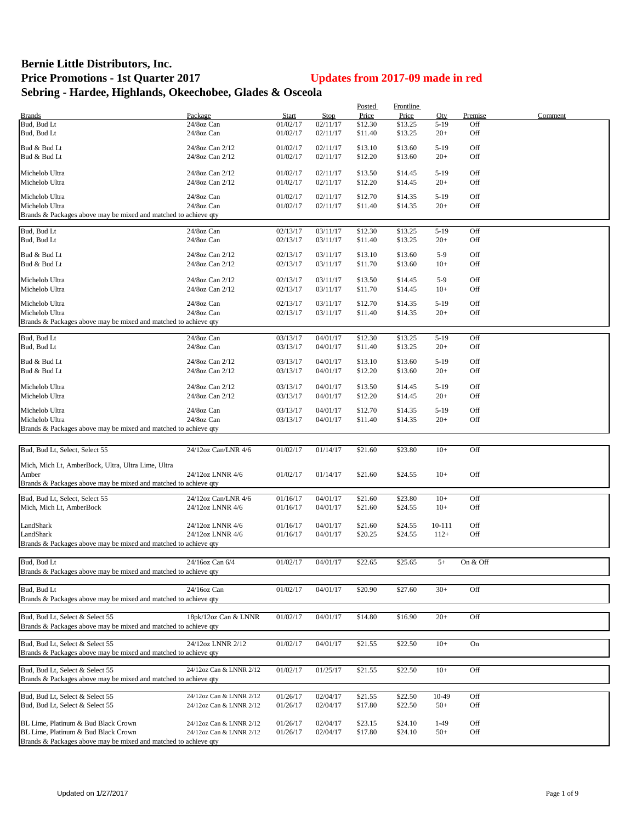## **Bernie Little Distributors, Inc. Price Promotions - 1st Quarter 2017 Updates from 2017-09 made in red Sebring - Hardee, Highlands, Okeechobee, Glades & Osceola**

|                                                                 |                         |              |          | Posted  | <b>Frontline</b> |          |          |         |
|-----------------------------------------------------------------|-------------------------|--------------|----------|---------|------------------|----------|----------|---------|
| <b>Brands</b>                                                   | Package                 | <b>Start</b> | Stop     | Price   | Price            | Qty      | Premise  | Comment |
| Bud, Bud Lt                                                     | 24/8oz Can              | 01/02/17     | 02/11/17 | \$12.30 | \$13.25          | $5-19$   | Off      |         |
| Bud, Bud Lt                                                     | 24/8oz Can              | 01/02/17     | 02/11/17 | \$11.40 | \$13.25          | $20+$    | Off      |         |
|                                                                 |                         |              |          |         |                  |          |          |         |
| Bud & Bud Lt                                                    | 24/8oz Can 2/12         | 01/02/17     | 02/11/17 | \$13.10 | \$13.60          | $5 - 19$ | Off      |         |
| Bud & Bud Lt                                                    | 24/8oz Can 2/12         | 01/02/17     | 02/11/17 | \$12.20 | \$13.60          | $20+$    | Off      |         |
|                                                                 |                         |              |          |         |                  |          |          |         |
| Michelob Ultra                                                  | 24/8oz Can 2/12         | 01/02/17     | 02/11/17 | \$13.50 | \$14.45          | $5-19$   | Off      |         |
| Michelob Ultra                                                  | 24/8oz Can 2/12         | 01/02/17     | 02/11/17 | \$12.20 | \$14.45          | $20+$    | Off      |         |
|                                                                 |                         |              |          |         |                  |          |          |         |
| Michelob Ultra                                                  | 24/8oz Can              | 01/02/17     | 02/11/17 | \$12.70 | \$14.35          | $5 - 19$ | Off      |         |
| Michelob Ultra                                                  | 24/8oz Can              | 01/02/17     | 02/11/17 | \$11.40 | \$14.35          | $20+$    | Off      |         |
| Brands & Packages above may be mixed and matched to achieve qty |                         |              |          |         |                  |          |          |         |
|                                                                 |                         |              |          |         |                  |          |          |         |
| Bud, Bud Lt                                                     | 24/8oz Can              | 02/13/17     | 03/11/17 | \$12.30 | \$13.25          | $5-19$   | Off      |         |
| Bud, Bud Lt                                                     | 24/8oz Can              | 02/13/17     | 03/11/17 | \$11.40 | \$13.25          | $20+$    | Off      |         |
|                                                                 |                         |              |          |         |                  |          |          |         |
| Bud & Bud Lt                                                    | 24/8oz Can 2/12         | 02/13/17     | 03/11/17 | \$13.10 | \$13.60          | $5-9$    | Off      |         |
| Bud & Bud Lt                                                    | 24/8oz Can 2/12         | 02/13/17     | 03/11/17 | \$11.70 | \$13.60          | $10+$    | Off      |         |
|                                                                 |                         |              |          |         |                  |          |          |         |
| Michelob Ultra                                                  | 24/8oz Can 2/12         | 02/13/17     | 03/11/17 | \$13.50 | \$14.45          | $5-9$    | Off      |         |
| Michelob Ultra                                                  | 24/8oz Can 2/12         | 02/13/17     | 03/11/17 | \$11.70 | \$14.45          | $10+$    | Off      |         |
|                                                                 |                         |              |          |         |                  |          |          |         |
| Michelob Ultra                                                  | 24/8oz Can              | 02/13/17     | 03/11/17 | \$12.70 | \$14.35          | $5-19$   | Off      |         |
| Michelob Ultra                                                  | 24/8oz Can              | 02/13/17     | 03/11/17 | \$11.40 | \$14.35          | $20+$    | Off      |         |
| Brands & Packages above may be mixed and matched to achieve qty |                         |              |          |         |                  |          |          |         |
|                                                                 |                         |              |          |         |                  |          |          |         |
| Bud, Bud Lt                                                     | 24/8oz Can              | 03/13/17     | 04/01/17 | \$12.30 | \$13.25          | $5-19$   | Off      |         |
| Bud, Bud Lt                                                     | 24/8oz Can              | 03/13/17     | 04/01/17 | \$11.40 | \$13.25          | $20+$    | Off      |         |
|                                                                 |                         |              |          |         |                  |          |          |         |
| Bud & Bud Lt                                                    | 24/8oz Can 2/12         | 03/13/17     | 04/01/17 | \$13.10 | \$13.60          | $5-19$   | Off      |         |
| Bud & Bud Lt                                                    | 24/8oz Can 2/12         | 03/13/17     | 04/01/17 | \$12.20 | \$13.60          | $20+$    | Off      |         |
|                                                                 |                         |              |          |         |                  |          |          |         |
| Michelob Ultra                                                  | 24/8oz Can 2/12         | 03/13/17     | 04/01/17 | \$13.50 | \$14.45          | $5-19$   | Off      |         |
| Michelob Ultra                                                  | 24/8oz Can 2/12         | 03/13/17     | 04/01/17 | \$12.20 | \$14.45          | $20+$    | Off      |         |
|                                                                 |                         |              |          |         |                  |          |          |         |
| Michelob Ultra                                                  | 24/8oz Can              | 03/13/17     | 04/01/17 | \$12.70 | \$14.35          | $5-19$   | Off      |         |
| Michelob Ultra                                                  | 24/8oz Can              | 03/13/17     | 04/01/17 | \$11.40 | \$14.35          | $20+$    | Off      |         |
|                                                                 |                         |              |          |         |                  |          |          |         |
| Brands & Packages above may be mixed and matched to achieve qty |                         |              |          |         |                  |          |          |         |
|                                                                 |                         |              |          |         |                  |          |          |         |
| Bud, Bud Lt, Select, Select 55                                  | 24/12oz Can/LNR 4/6     | 01/02/17     | 01/14/17 | \$21.60 | \$23.80          | $10+$    | Off      |         |
|                                                                 |                         |              |          |         |                  |          |          |         |
| Mich, Mich Lt, AmberBock, Ultra, Ultra Lime, Ultra              |                         |              |          |         |                  |          |          |         |
| Amber                                                           | 24/12oz LNNR 4/6        | 01/02/17     | 01/14/17 | \$21.60 | \$24.55          | $10+$    | Off      |         |
| Brands & Packages above may be mixed and matched to achieve qty |                         |              |          |         |                  |          |          |         |
|                                                                 |                         |              |          |         |                  |          |          |         |
| Bud, Bud Lt, Select, Select 55                                  | 24/12oz Can/LNR 4/6     | 01/16/17     | 04/01/17 | \$21.60 | \$23.80          | $10+$    | Off      |         |
| Mich, Mich Lt, AmberBock                                        | 24/12oz LNNR 4/6        | 01/16/17     | 04/01/17 | \$21.60 | \$24.55          | $10+$    | Off      |         |
|                                                                 |                         |              |          |         |                  |          |          |         |
| LandShark                                                       | 24/12oz LNNR 4/6        | 01/16/17     | 04/01/17 | \$21.60 | \$24.55          | 10-111   | Off      |         |
| LandShark                                                       | 24/12oz LNNR 4/6        | 01/16/17     | 04/01/17 | \$20.25 | \$24.55          | $112+$   | Off      |         |
| Brands & Packages above may be mixed and matched to achieve qty |                         |              |          |         |                  |          |          |         |
|                                                                 |                         |              |          |         |                  |          |          |         |
|                                                                 |                         |              |          |         |                  |          |          |         |
| Bud, Bud Lt                                                     | 24/16oz Can 6/4         | 01/02/17     | 04/01/17 | \$22.65 | \$25.65          | $5+$     | On & Off |         |
| Brands & Packages above may be mixed and matched to achieve qty |                         |              |          |         |                  |          |          |         |
|                                                                 |                         |              |          |         |                  |          |          |         |
| Bud, Bud Lt                                                     | 24/16oz Can             | 01/02/17     | 04/01/17 | \$20.90 | \$27.60          | $30+$    | Off      |         |
| Brands & Packages above may be mixed and matched to achieve qty |                         |              |          |         |                  |          |          |         |
|                                                                 |                         |              |          |         |                  |          |          |         |
| Bud, Bud Lt, Select & Select 55                                 | 18pk/12oz Can & LNNR    | 01/02/17     | 04/01/17 | \$14.80 | \$16.90          | $20+$    | Off      |         |
| Brands & Packages above may be mixed and matched to achieve qty |                         |              |          |         |                  |          |          |         |
|                                                                 |                         |              |          |         |                  |          |          |         |
| Bud, Bud Lt, Select & Select 55                                 | 24/12oz LNNR 2/12       | 01/02/17     | 04/01/17 | \$21.55 | \$22.50          | $10+$    | On       |         |
|                                                                 |                         |              |          |         |                  |          |          |         |
| Brands & Packages above may be mixed and matched to achieve qty |                         |              |          |         |                  |          |          |         |
|                                                                 |                         |              |          |         |                  |          |          |         |
| Bud, Bud Lt, Select & Select 55                                 | 24/12oz Can & LNNR 2/12 | 01/02/17     | 01/25/17 | \$21.55 | \$22.50          | $10+$    | Off      |         |
| Brands & Packages above may be mixed and matched to achieve qty |                         |              |          |         |                  |          |          |         |
|                                                                 |                         |              |          |         |                  |          |          |         |
| Bud, Bud Lt, Select & Select 55                                 | 24/12oz Can & LNNR 2/12 | 01/26/17     | 02/04/17 | \$21.55 | \$22.50          | 10-49    | Off      |         |
| Bud, Bud Lt, Select & Select 55                                 | 24/12oz Can & LNNR 2/12 | 01/26/17     | 02/04/17 | \$17.80 | \$22.50          | $50+$    | Off      |         |
|                                                                 |                         |              |          |         |                  |          |          |         |
| BL Lime, Platinum & Bud Black Crown                             | 24/12oz Can & LNNR 2/12 | 01/26/17     | 02/04/17 | \$23.15 | \$24.10          | $1-49$   | Off      |         |
| BL Lime, Platinum & Bud Black Crown                             | 24/12oz Can & LNNR 2/12 | 01/26/17     | 02/04/17 | \$17.80 | \$24.10          | $50+$    | Off      |         |
| Brands & Packages above may be mixed and matched to achieve qty |                         |              |          |         |                  |          |          |         |
|                                                                 |                         |              |          |         |                  |          |          |         |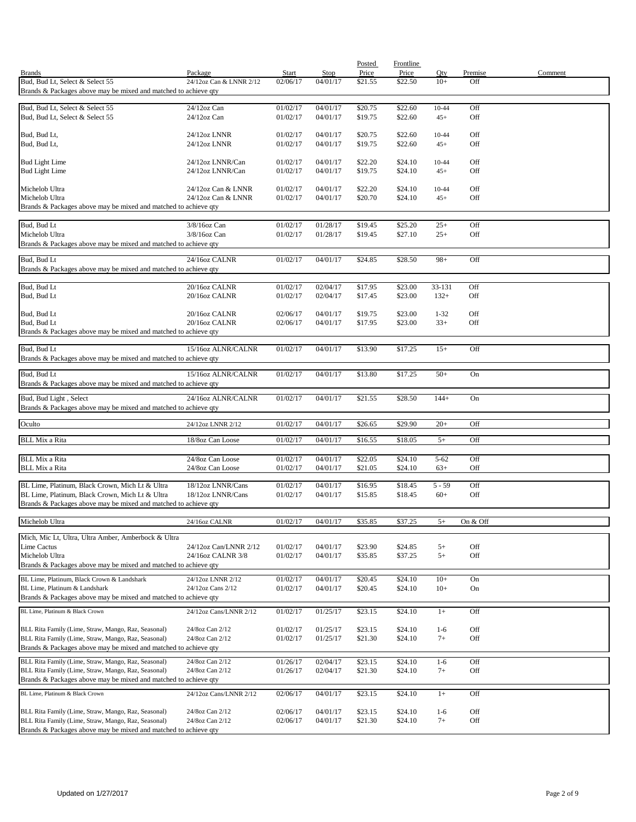|                                                                                                                        |                                      |                          |                         | Posted             | Frontline          |               |                |         |
|------------------------------------------------------------------------------------------------------------------------|--------------------------------------|--------------------------|-------------------------|--------------------|--------------------|---------------|----------------|---------|
| <b>Brands</b><br>Bud, Bud Lt, Select & Select 55                                                                       | Package                              | <b>Start</b><br>02/06/17 | <b>Stop</b><br>04/01/17 | Price              | Price              | Qty<br>$10+$  | Premise<br>Off | Comment |
| Brands & Packages above may be mixed and matched to achieve qty                                                        | 24/12oz Can & LNNR 2/12              |                          |                         | \$21.55            | \$22.50            |               |                |         |
|                                                                                                                        |                                      |                          |                         |                    |                    |               |                |         |
| Bud, Bud Lt, Select & Select 55<br>Bud, Bud Lt, Select & Select 55                                                     | 24/12oz Can<br>$24/12$ oz Can        | 01/02/17                 | 04/01/17<br>04/01/17    | \$20.75            | \$22.60<br>\$22.60 | 10-44         | Off<br>Off     |         |
|                                                                                                                        |                                      | 01/02/17                 |                         | \$19.75            |                    | $45+$         |                |         |
| Bud, Bud Lt,                                                                                                           | 24/12oz LNNR                         | 01/02/17                 | 04/01/17                | \$20.75            | \$22.60            | 10-44         | Off            |         |
| Bud, Bud Lt,                                                                                                           | 24/12oz LNNR                         | 01/02/17                 | 04/01/17                | \$19.75            | \$22.60            | $45+$         | Off            |         |
| <b>Bud Light Lime</b>                                                                                                  | 24/12oz LNNR/Can                     | 01/02/17                 | 04/01/17                | \$22.20            | \$24.10            | $10 - 44$     | Off            |         |
| <b>Bud Light Lime</b>                                                                                                  | 24/12oz LNNR/Can                     | 01/02/17                 | 04/01/17                | \$19.75            | \$24.10            | $45+$         | Off            |         |
|                                                                                                                        |                                      |                          |                         |                    |                    |               |                |         |
| Michelob Ultra                                                                                                         | 24/12oz Can & LNNR                   | 01/02/17                 | 04/01/17                | \$22.20            | \$24.10            | 10-44         | Off            |         |
| Michelob Ultra<br>Brands & Packages above may be mixed and matched to achieve qty                                      | 24/12oz Can & LNNR                   | 01/02/17                 | 04/01/17                | \$20.70            | \$24.10            | $45+$         | Off            |         |
|                                                                                                                        |                                      |                          |                         |                    |                    |               |                |         |
| Bud, Bud Lt                                                                                                            | 3/8/16oz Can                         | 01/02/17                 | 01/28/17                | \$19.45            | \$25.20            | $25+$         | Off            |         |
| Michelob Ultra                                                                                                         | 3/8/16oz Can                         | 01/02/17                 | 01/28/17                | \$19.45            | \$27.10            | $25+$         | Off            |         |
| Brands & Packages above may be mixed and matched to achieve qty                                                        |                                      |                          |                         |                    |                    |               |                |         |
| Bud, Bud Lt                                                                                                            | 24/16oz CALNR                        | 01/02/17                 | 04/01/17                | \$24.85            | \$28.50            | $98+$         | Off            |         |
| Brands & Packages above may be mixed and matched to achieve qty                                                        |                                      |                          |                         |                    |                    |               |                |         |
| Bud, Bud Lt                                                                                                            | 20/16oz CALNR                        | 01/02/17                 | 02/04/17                | \$17.95            | \$23.00            | 33-131        | Off            |         |
| Bud, Bud Lt                                                                                                            | 20/16oz CALNR                        | 01/02/17                 | 02/04/17                | \$17.45            | \$23.00            | $132+$        | Off            |         |
|                                                                                                                        |                                      |                          |                         |                    |                    |               |                |         |
| Bud, Bud Lt                                                                                                            | 20/16oz CALNR                        | 02/06/17                 | 04/01/17                | \$19.75            | \$23.00            | $1 - 32$      | Off            |         |
| Bud, Bud Lt                                                                                                            | 20/16oz CALNR                        | 02/06/17                 | 04/01/17                | \$17.95            | \$23.00            | $33+$         | Off            |         |
| Brands & Packages above may be mixed and matched to achieve qty                                                        |                                      |                          |                         |                    |                    |               |                |         |
| Bud, Bud Lt                                                                                                            | 15/16oz ALNR/CALNR                   | 01/02/17                 | 04/01/17                | \$13.90            | \$17.25            | $15+$         | Off            |         |
| Brands & Packages above may be mixed and matched to achieve qty                                                        |                                      |                          |                         |                    |                    |               |                |         |
| Bud, Bud Lt                                                                                                            | 15/16oz ALNR/CALNR                   | 01/02/17                 | 04/01/17                | \$13.80            | \$17.25            | $50+$         | On             |         |
| Brands & Packages above may be mixed and matched to achieve qty                                                        |                                      |                          |                         |                    |                    |               |                |         |
| Bud, Bud Light, Select                                                                                                 | 24/16oz ALNR/CALNR                   | 01/02/17                 | 04/01/17                | \$21.55            | \$28.50            | $144+$        | On             |         |
| Brands & Packages above may be mixed and matched to achieve qty                                                        |                                      |                          |                         |                    |                    |               |                |         |
|                                                                                                                        |                                      |                          |                         |                    |                    |               |                |         |
| Oculto                                                                                                                 | 24/12oz LNNR 2/12                    | 01/02/17                 | 04/01/17                | \$26.65            | \$29.90            | $20+$         | Off            |         |
| <b>BLL Mix a Rita</b>                                                                                                  | 18/8oz Can Loose                     | 01/02/17                 | 04/01/17                | \$16.55            | \$18.05            | $5+$          | Off            |         |
|                                                                                                                        |                                      |                          |                         |                    |                    |               |                |         |
| <b>BLL Mix a Rita</b><br><b>BLL Mix a Rita</b>                                                                         | 24/8oz Can Loose<br>24/8oz Can Loose | 01/02/17                 | 04/01/17                | \$22.05            | \$24.10            | $5 - 62$      | Off<br>Off     |         |
|                                                                                                                        |                                      | 01/02/17                 | 04/01/17                | \$21.05            | \$24.10            | $63+$         |                |         |
| BL Lime, Platinum, Black Crown, Mich Lt & Ultra                                                                        | 18/12oz LNNR/Cans                    | 01/02/17                 | 04/01/17                | \$16.95            | \$18.45            | 5 - 59        | Off            |         |
| BL Lime, Platinum, Black Crown, Mich Lt & Ultra                                                                        | 18/12oz LNNR/Cans                    | 01/02/17                 | 04/01/17                | \$15.85            | \$18.45            | $60+$         | Off            |         |
| Brands & Packages above may be mixed and matched to achieve qty                                                        |                                      |                          |                         |                    |                    |               |                |         |
| Michelob Ultra                                                                                                         | 24/16oz CALNR                        | 01/02/17                 | 04/01/17                | \$35.85            | \$37.25            | $5+$          | On & Off       |         |
|                                                                                                                        |                                      |                          |                         |                    |                    |               |                |         |
| Mich, Mic Lt, Ultra, Ultra Amber, Amberbock & Ultra<br>Lime Cactus                                                     | 24/12oz Can/LNNR 2/12                | 01/02/17                 | 04/01/17                | \$23.90            | \$24.85            | $5+$          | Off            |         |
| Michelob Ultra                                                                                                         | 24/16oz CALNR 3/8                    | 01/02/17                 | 04/01/17                | \$35.85            | \$37.25            | $5+$          | Off            |         |
| Brands & Packages above may be mixed and matched to achieve qty                                                        |                                      |                          |                         |                    |                    |               |                |         |
| BL Lime, Platinum, Black Crown & Landshark                                                                             | 24/12oz LNNR 2/12                    | 01/02/17                 | 04/01/17                | \$20.45            | \$24.10            | $10+$         | On             |         |
| BL Lime, Platinum & Landshark                                                                                          | 24/12oz Cans 2/12                    | 01/02/17                 | 04/01/17                | \$20.45            | \$24.10            | $10+$         | On             |         |
| Brands & Packages above may be mixed and matched to achieve qty                                                        |                                      |                          |                         |                    |                    |               |                |         |
| BL Lime, Platinum & Black Crown                                                                                        | 24/12oz Cans/LNNR 2/12               | 01/02/17                 | 01/25/17                | \$23.15            | \$24.10            | $1+$          | Off            |         |
|                                                                                                                        |                                      |                          |                         |                    |                    |               |                |         |
| BLL Rita Family (Lime, Straw, Mango, Raz, Seasonal)                                                                    | 24/8oz Can 2/12                      | 01/02/17                 | 01/25/17                | \$23.15            | \$24.10            | $1-6$         | Off            |         |
| BLL Rita Family (Lime, Straw, Mango, Raz, Seasonal)<br>Brands & Packages above may be mixed and matched to achieve qty | 24/8oz Can 2/12                      | 01/02/17                 | 01/25/17                | \$21.30            | \$24.10            | $7+$          | Off            |         |
|                                                                                                                        |                                      |                          |                         |                    |                    |               |                |         |
| BLL Rita Family (Lime, Straw, Mango, Raz, Seasonal)<br>BLL Rita Family (Lime, Straw, Mango, Raz, Seasonal)             | 24/8oz Can 2/12<br>24/8oz Can 2/12   | 01/26/17<br>01/26/17     | 02/04/17<br>02/04/17    | \$23.15<br>\$21.30 | \$24.10<br>\$24.10 | $1-6$<br>$7+$ | Off<br>Off     |         |
| Brands & Packages above may be mixed and matched to achieve qty                                                        |                                      |                          |                         |                    |                    |               |                |         |
| BL Lime, Platinum & Black Crown                                                                                        | 24/12oz Cans/LNNR 2/12               | 02/06/17                 | 04/01/17                | \$23.15            | \$24.10            | $1+$          | Off            |         |
|                                                                                                                        |                                      |                          |                         |                    |                    |               |                |         |
| BLL Rita Family (Lime, Straw, Mango, Raz, Seasonal)                                                                    | 24/8oz Can 2/12                      | 02/06/17                 | 04/01/17                | \$23.15            | \$24.10            | $1-6$         | Off            |         |
| BLL Rita Family (Lime, Straw, Mango, Raz, Seasonal)                                                                    | 24/8oz Can 2/12                      | 02/06/17                 | 04/01/17                | \$21.30            | \$24.10            | $7+$          | Off            |         |
| Brands & Packages above may be mixed and matched to achieve qty                                                        |                                      |                          |                         |                    |                    |               |                |         |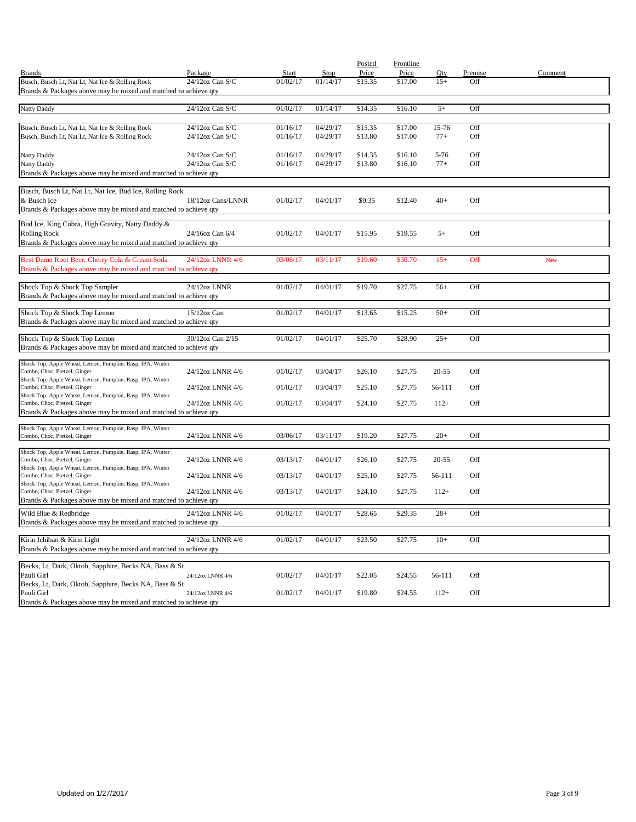|                                                                                                                    |                    |              |          | Posted  | Frontline |           |         |            |
|--------------------------------------------------------------------------------------------------------------------|--------------------|--------------|----------|---------|-----------|-----------|---------|------------|
| <b>Brands</b>                                                                                                      | Package            | <b>Start</b> | Stop     | Price   | Price     | Qty       | Premise | Comment    |
| Busch, Busch Lt, Nat Lt, Nat Ice & Rolling Rock<br>Brands & Packages above may be mixed and matched to achieve qty | 24/12oz Can S/C    | 01/02/17     | 01/14/17 | \$15.35 | \$17.00   | $15+$     | Off     |            |
|                                                                                                                    |                    |              |          |         |           |           |         |            |
| <b>Natty Daddy</b>                                                                                                 | 24/12oz Can S/C    | 01/02/17     | 01/14/17 | \$14.35 | \$16.10   | $5+$      | Off     |            |
|                                                                                                                    |                    |              |          |         |           |           |         |            |
| Busch, Busch Lt, Nat Lt, Nat Ice & Rolling Rock                                                                    | 24/12oz Can S/C    | 01/16/17     | 04/29/17 | \$15.35 | \$17.00   | 15-76     | Off     |            |
| Busch, Busch Lt, Nat Lt, Nat Ice & Rolling Rock                                                                    | $24/12$ oz Can S/C | 01/16/17     | 04/29/17 | \$13.80 | \$17.00   | $77+$     | Off     |            |
|                                                                                                                    |                    |              |          |         |           |           |         |            |
| Natty Daddy                                                                                                        | $24/12$ oz Can S/C | 01/16/17     | 04/29/17 | \$14.35 | \$16.10   | $5 - 76$  | Off     |            |
| Natty Daddy                                                                                                        | 24/12oz Can S/C    | 01/16/17     | 04/29/17 | \$13.80 | \$16.10   | $77+$     | Off     |            |
| Brands & Packages above may be mixed and matched to achieve qty                                                    |                    |              |          |         |           |           |         |            |
| Busch, Busch Lt, Nat Lt, Nat Ice, Bud Ice, Rolling Rock                                                            |                    |              |          |         |           |           |         |            |
| & Busch Ice                                                                                                        | 18/12oz Cans/LNNR  | 01/02/17     | 04/01/17 | \$9.35  | \$12.40   | $40+$     | Off     |            |
| Brands & Packages above may be mixed and matched to achieve qty                                                    |                    |              |          |         |           |           |         |            |
|                                                                                                                    |                    |              |          |         |           |           |         |            |
| Bud Ice, King Cobra, High Gravity, Natty Daddy &                                                                   | 24/16oz Can 6/4    | 01/02/17     | 04/01/17 | \$15.95 | \$19.55   | $5+$      | Off     |            |
| <b>Rolling Rock</b><br>Brands & Packages above may be mixed and matched to achieve qty                             |                    |              |          |         |           |           |         |            |
|                                                                                                                    |                    |              |          |         |           |           |         |            |
| Best Damn Root Beer, Cherry Cola & Cream Soda                                                                      | 24/12oz LNNR 4/6   | 03/06/17     | 03/11/17 | \$19.60 | \$30.70   | $15+$     | Off     | <b>New</b> |
| Brands & Packages above may be mixed and matched to achieve qty                                                    |                    |              |          |         |           |           |         |            |
|                                                                                                                    |                    |              |          |         |           |           |         |            |
| Shock Top & Shock Top Sampler                                                                                      | 24/12oz LNNR       | 01/02/17     | 04/01/17 | \$19.70 | \$27.75   | $56+$     | Off     |            |
| Brands & Packages above may be mixed and matched to achieve qty                                                    |                    |              |          |         |           |           |         |            |
| Shock Top & Shock Top Lemon                                                                                        | 15/12oz Can        | 01/02/17     | 04/01/17 | \$13.65 | \$15.25   | $50+$     | Off     |            |
| Brands & Packages above may be mixed and matched to achieve qty                                                    |                    |              |          |         |           |           |         |            |
|                                                                                                                    |                    |              |          |         |           |           |         |            |
| Shock Top & Shock Top Lemon                                                                                        | 30/12oz Can 2/15   | 01/02/17     | 04/01/17 | \$25.70 | \$28.90   | $25+$     | Off     |            |
| Brands & Packages above may be mixed and matched to achieve qty                                                    |                    |              |          |         |           |           |         |            |
| Shock Top, Apple Wheat, Lemon, Pumpkin, Rasp, IPA, Winter                                                          |                    |              |          |         |           |           |         |            |
| Combo, Choc, Pretzel, Ginger                                                                                       | 24/12oz LNNR 4/6   | 01/02/17     | 03/04/17 | \$26.10 | \$27.75   | $20 - 55$ | Off     |            |
| Shock Top, Apple Wheat, Lemon, Pumpkin, Rasp, IPA, Winter<br>Combo, Choc, Pretzel, Ginger                          | 24/12oz LNNR 4/6   | 01/02/17     | 03/04/17 | \$25.10 | \$27.75   | 56-111    | Off     |            |
| Shock Top, Apple Wheat, Lemon, Pumpkin, Rasp, IPA, Winter                                                          |                    |              |          |         |           |           |         |            |
| Combo, Choc, Pretzel, Ginger                                                                                       | 24/12oz LNNR 4/6   | 01/02/17     | 03/04/17 | \$24.10 | \$27.75   | $112+$    | Off     |            |
| Brands & Packages above may be mixed and matched to achieve qty                                                    |                    |              |          |         |           |           |         |            |
| Shock Top, Apple Wheat, Lemon, Pumpkin, Rasp, IPA, Winter                                                          |                    |              |          |         |           |           |         |            |
| Combo, Choc, Pretzel, Ginger                                                                                       | 24/12oz LNNR 4/6   | 03/06/17     | 03/11/17 | \$19.20 | \$27.75   | $20+$     | Off     |            |
|                                                                                                                    |                    |              |          |         |           |           |         |            |
| Shock Top, Apple Wheat, Lemon, Pumpkin, Rasp, IPA, Winter<br>Combo, Choc, Pretzel, Ginger                          | 24/12oz LNNR 4/6   | 03/13/17     | 04/01/17 | \$26.10 | \$27.75   | $20 - 55$ | Off     |            |
| Shock Top, Apple Wheat, Lemon, Pumpkin, Rasp, IPA, Winter                                                          |                    |              |          |         |           |           |         |            |
| Combo, Choc, Pretzel, Ginger                                                                                       | 24/12oz LNNR 4/6   | 03/13/17     | 04/01/17 | \$25.10 | \$27.75   | 56-111    | Off     |            |
| Shock Top, Apple Wheat, Lemon, Pumpkin, Rasp, IPA, Winter                                                          |                    |              |          |         |           |           |         |            |
| Combo, Choc, Pretzel, Ginger                                                                                       | 24/12oz LNNR 4/6   | 03/13/17     | 04/01/17 | \$24.10 | \$27.75   | $112+$    | Off     |            |
| Brands & Packages above may be mixed and matched to achieve qty                                                    |                    |              |          |         |           |           |         |            |
| Wild Blue & Redbridge                                                                                              | 24/12oz LNNR 4/6   | 01/02/17     | 04/01/17 | \$28.65 | \$29.35   | $28+$     | Off     |            |
| Brands & Packages above may be mixed and matched to achieve qty                                                    |                    |              |          |         |           |           |         |            |
| Kirin Ichiban & Kirin Light                                                                                        | 24/12oz LNNR 4/6   | 01/02/17     | 04/01/17 | \$23.50 | \$27.75   | $10+$     | Off     |            |
| Brands & Packages above may be mixed and matched to achieve qty                                                    |                    |              |          |         |           |           |         |            |
|                                                                                                                    |                    |              |          |         |           |           |         |            |
| Becks, Lt, Dark, Oktob, Sapphire, Becks NA, Bass & St                                                              |                    |              |          |         |           |           |         |            |
| Pauli Girl                                                                                                         | 24/12oz LNNR 4/6   | 01/02/17     | 04/01/17 | \$22.05 | \$24.55   | 56-111    | Off     |            |
| Becks, Lt, Dark, Oktob, Sapphire, Becks NA, Bass & St<br>Pauli Girl                                                | 24/12oz LNNR 4/6   | 01/02/17     | 04/01/17 | \$19.80 |           |           | Off     |            |
| Brands & Packages above may be mixed and matched to achieve qty                                                    |                    |              |          |         | \$24.55   | $112+$    |         |            |
|                                                                                                                    |                    |              |          |         |           |           |         |            |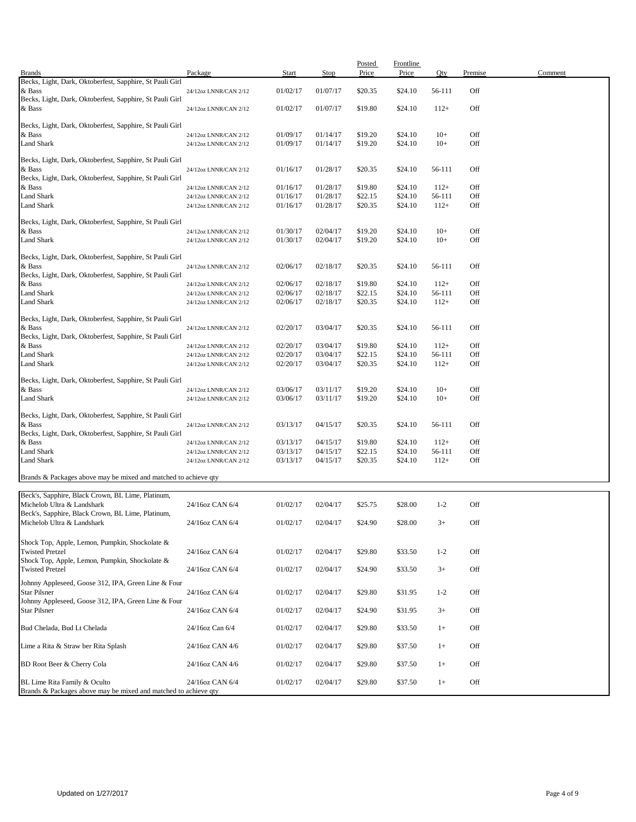|                                                                                 | Package                                        | <b>Start</b>         | Stop                 | Posted<br>Price    | <b>Frontline</b><br>Price | Qty              | Premise    | Comment |
|---------------------------------------------------------------------------------|------------------------------------------------|----------------------|----------------------|--------------------|---------------------------|------------------|------------|---------|
| <b>Brands</b><br>Becks, Light, Dark, Oktoberfest, Sapphire, St Pauli Girl       |                                                |                      |                      |                    |                           |                  |            |         |
| & Bass                                                                          | 24/12oz LNNR/CAN 2/12                          | 01/02/17             | 01/07/17             | \$20.35            | \$24.10                   | 56-111           | Off        |         |
| Becks, Light, Dark, Oktoberfest, Sapphire, St Pauli Girl<br>& Bass              | 24/12oz LNNR/CAN 2/12                          | 01/02/17             | 01/07/17             | \$19.80            | \$24.10                   | $112+$           | Off        |         |
|                                                                                 |                                                |                      |                      |                    |                           |                  |            |         |
| Becks, Light, Dark, Oktoberfest, Sapphire, St Pauli Girl                        |                                                |                      |                      |                    |                           |                  |            |         |
| & Bass<br>Land Shark                                                            | 24/12oz LNNR/CAN 2/12<br>24/12oz LNNR/CAN 2/12 | 01/09/17<br>01/09/17 | 01/14/17<br>01/14/17 | \$19.20<br>\$19.20 | \$24.10<br>\$24.10        | $10+$<br>$10+$   | Off<br>Off |         |
|                                                                                 |                                                |                      |                      |                    |                           |                  |            |         |
| Becks, Light, Dark, Oktoberfest, Sapphire, St Pauli Girl                        |                                                |                      |                      |                    |                           |                  |            |         |
| & Bass<br>Becks, Light, Dark, Oktoberfest, Sapphire, St Pauli Girl              | 24/12oz LNNR/CAN 2/12                          | 01/16/17             | 01/28/17             | \$20.35            | \$24.10                   | 56-111           | Off        |         |
| & Bass                                                                          | 24/12oz LNNR/CAN 2/12                          | 01/16/17             | 01/28/17             | \$19.80            | \$24.10                   | $112+$           | Off        |         |
| <b>Land Shark</b>                                                               | 24/12oz LNNR/CAN 2/12                          | 01/16/17             | 01/28/17             | \$22.15            | \$24.10                   | 56-111           | Off        |         |
| Land Shark                                                                      | 24/12oz LNNR/CAN 2/12                          | 01/16/17             | 01/28/17             | \$20.35            | \$24.10                   | $112+$           | Off        |         |
| Becks, Light, Dark, Oktoberfest, Sapphire, St Pauli Girl                        |                                                |                      |                      |                    |                           |                  |            |         |
| & Bass                                                                          | 24/12oz LNNR/CAN 2/12                          | 01/30/17             | 02/04/17             | \$19.20            | \$24.10                   | $10+$            | Off        |         |
| Land Shark                                                                      | 24/12oz LNNR/CAN 2/12                          | 01/30/17             | 02/04/17             | \$19.20            | \$24.10                   | $10+$            | Off        |         |
| Becks, Light, Dark, Oktoberfest, Sapphire, St Pauli Girl                        |                                                |                      |                      |                    |                           |                  |            |         |
| & Bass                                                                          | 24/12oz LNNR/CAN 2/12                          | 02/06/17             | 02/18/17             | \$20.35            | \$24.10                   | 56-111           | Off        |         |
| Becks, Light, Dark, Oktoberfest, Sapphire, St Pauli Girl                        |                                                |                      |                      |                    |                           |                  |            |         |
| & Bass                                                                          | 24/12oz LNNR/CAN 2/12                          | 02/06/17             | 02/18/17             | \$19.80            | \$24.10                   | $112+$           | Off        |         |
| Land Shark                                                                      | 24/12oz LNNR/CAN 2/12                          | 02/06/17             | 02/18/17             | \$22.15            | \$24.10                   | 56-111           | Off        |         |
| Land Shark                                                                      | 24/12oz LNNR/CAN 2/12                          | 02/06/17             | 02/18/17             | \$20.35            | \$24.10                   | $112+$           | Off        |         |
| Becks, Light, Dark, Oktoberfest, Sapphire, St Pauli Girl                        |                                                |                      |                      |                    |                           |                  |            |         |
| & Bass                                                                          | 24/12oz LNNR/CAN 2/12                          | 02/20/17             | 03/04/17             | \$20.35            | \$24.10                   | 56-111           | Off        |         |
| Becks, Light, Dark, Oktoberfest, Sapphire, St Pauli Girl                        |                                                |                      |                      |                    |                           |                  |            |         |
| & Bass                                                                          | 24/12oz LNNR/CAN 2/12                          | 02/20/17             | 03/04/17             | \$19.80            | \$24.10                   | $112+$           | Off        |         |
| Land Shark<br>Land Shark                                                        | 24/12oz LNNR/CAN 2/12<br>24/12oz LNNR/CAN 2/12 | 02/20/17<br>02/20/17 | 03/04/17<br>03/04/17 | \$22.15<br>\$20.35 | \$24.10<br>\$24.10        | 56-111<br>$112+$ | Off<br>Off |         |
|                                                                                 |                                                |                      |                      |                    |                           |                  |            |         |
| Becks, Light, Dark, Oktoberfest, Sapphire, St Pauli Girl                        |                                                |                      |                      |                    |                           |                  |            |         |
| & Bass                                                                          | 24/12oz LNNR/CAN 2/12                          | 03/06/17             | 03/11/17             | \$19.20            | \$24.10                   | $10+$            | Off        |         |
| Land Shark                                                                      | 24/12oz LNNR/CAN 2/12                          | 03/06/17             | 03/11/17             | \$19.20            | \$24.10                   | $10+$            | Off        |         |
| Becks, Light, Dark, Oktoberfest, Sapphire, St Pauli Girl                        |                                                |                      |                      |                    |                           |                  |            |         |
| & Bass                                                                          | 24/12oz LNNR/CAN 2/12                          | 03/13/17             | 04/15/17             | \$20.35            | \$24.10                   | 56-111           | Off        |         |
| Becks, Light, Dark, Oktoberfest, Sapphire, St Pauli Girl                        |                                                |                      |                      |                    |                           |                  |            |         |
| & Bass                                                                          | 24/12oz LNNR/CAN 2/12                          | 03/13/17             | 04/15/17             | \$19.80            | \$24.10                   | $112+$           | Off        |         |
| Land Shark                                                                      | 24/12oz LNNR/CAN 2/12                          | 03/13/17             | 04/15/17             | \$22.15            | \$24.10                   | 56-111           | Off        |         |
| Land Shark                                                                      | 24/12oz LNNR/CAN 2/12                          | 03/13/17             | 04/15/17             | \$20.35            | \$24.10                   | $112+$           | Off        |         |
| Brands & Packages above may be mixed and matched to achieve qty                 |                                                |                      |                      |                    |                           |                  |            |         |
|                                                                                 |                                                |                      |                      |                    |                           |                  |            |         |
| Beck's, Sapphire, Black Crown, BL Lime, Platinum,<br>Michelob Ultra & Landshark | 24/16oz CAN 6/4                                | 01/02/17             | 02/04/17             | \$25.75            | \$28.00                   | $1 - 2$          | Off        |         |
| Beck's, Sapphire, Black Crown, BL Lime, Platinum,                               |                                                |                      |                      |                    |                           |                  |            |         |
| Michelob Ultra & Landshark                                                      | 24/16oz CAN 6/4                                | 01/02/17             | 02/04/17             | \$24.90            | \$28.00                   | $3+$             | Off        |         |
|                                                                                 |                                                |                      |                      |                    |                           |                  |            |         |
| Shock Top, Apple, Lemon, Pumpkin, Shockolate &                                  |                                                |                      |                      |                    |                           |                  |            |         |
| <b>Twisted Pretzel</b><br>Shock Top, Apple, Lemon, Pumpkin, Shockolate &        | 24/16oz CAN 6/4                                | 01/02/17             | 02/04/17             | \$29.80            | \$33.50                   | $1 - 2$          | Off        |         |
| <b>Twisted Pretzel</b>                                                          | 24/16oz CAN 6/4                                | 01/02/17             | 02/04/17             | \$24.90            | \$33.50                   | $3+$             | Off        |         |
| Johnny Appleseed, Goose 312, IPA, Green Line & Four                             |                                                |                      |                      |                    |                           |                  |            |         |
| <b>Star Pilsner</b>                                                             | 24/16oz CAN 6/4                                | 01/02/17             | 02/04/17             | \$29.80            | \$31.95                   | $1 - 2$          | Off        |         |
| Johnny Appleseed, Goose 312, IPA, Green Line & Four                             |                                                |                      |                      |                    |                           |                  |            |         |
| <b>Star Pilsner</b>                                                             | 24/16oz CAN 6/4                                | 01/02/17             | 02/04/17             | \$24.90            | \$31.95                   | $3+$             | Off        |         |
|                                                                                 |                                                |                      |                      |                    |                           |                  |            |         |
| Bud Chelada, Bud Lt Chelada                                                     | 24/16oz Can 6/4                                | 01/02/17             | 02/04/17             | \$29.80            | \$33.50                   | $1+$             | Off        |         |
| Lime a Rita & Straw ber Rita Splash                                             | 24/16oz CAN 4/6                                | 01/02/17             | 02/04/17             | \$29.80            | \$37.50                   | $1+$             | Off        |         |
|                                                                                 |                                                |                      |                      |                    |                           |                  |            |         |
| BD Root Beer & Cherry Cola                                                      | 24/16oz CAN 4/6                                | 01/02/17             | 02/04/17             | \$29.80            | \$37.50                   | $1+$             | Off        |         |
| BL Lime Rita Family & Oculto                                                    | 24/16oz CAN 6/4                                | 01/02/17             | 02/04/17             | \$29.80            | \$37.50                   | $1+$             | Off        |         |
| Brands & Packages above may be mixed and matched to achieve qty                 |                                                |                      |                      |                    |                           |                  |            |         |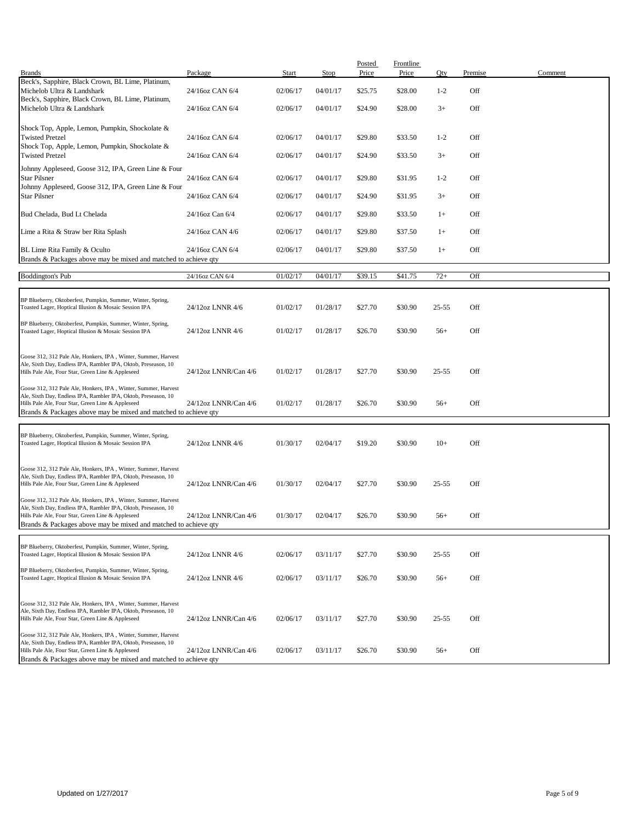| <b>Brands</b>                                                                                                                    | Package              | Start    | Stop     | Posted<br>Price | <b>Frontline</b><br>Price | Qty       | Premise | Comment |
|----------------------------------------------------------------------------------------------------------------------------------|----------------------|----------|----------|-----------------|---------------------------|-----------|---------|---------|
| Beck's, Sapphire, Black Crown, BL Lime, Platinum,                                                                                |                      |          |          |                 |                           |           |         |         |
| Michelob Ultra & Landshark                                                                                                       | 24/16oz CAN 6/4      | 02/06/17 | 04/01/17 | \$25.75         | \$28.00                   | $1 - 2$   | Off     |         |
| Beck's, Sapphire, Black Crown, BL Lime, Platinum,<br>Michelob Ultra & Landshark                                                  | 24/16oz CAN 6/4      | 02/06/17 | 04/01/17 | \$24.90         | \$28.00                   | $3+$      | Off     |         |
|                                                                                                                                  |                      |          |          |                 |                           |           |         |         |
| Shock Top, Apple, Lemon, Pumpkin, Shockolate &<br><b>Twisted Pretzel</b>                                                         | 24/16oz CAN 6/4      | 02/06/17 |          |                 |                           | $1 - 2$   | Off     |         |
| Shock Top, Apple, Lemon, Pumpkin, Shockolate &                                                                                   |                      |          | 04/01/17 | \$29.80         | \$33.50                   |           |         |         |
| <b>Twisted Pretzel</b>                                                                                                           | 24/16oz CAN 6/4      | 02/06/17 | 04/01/17 | \$24.90         | \$33.50                   | $3+$      | Off     |         |
| Johnny Appleseed, Goose 312, IPA, Green Line & Four                                                                              |                      |          |          |                 |                           |           |         |         |
| <b>Star Pilsner</b><br>Johnny Appleseed, Goose 312, IPA, Green Line & Four                                                       | 24/16oz CAN 6/4      | 02/06/17 | 04/01/17 | \$29.80         | \$31.95                   | $1 - 2$   | Off     |         |
| <b>Star Pilsner</b>                                                                                                              | 24/16oz CAN 6/4      | 02/06/17 | 04/01/17 | \$24.90         | \$31.95                   | $3+$      | Off     |         |
|                                                                                                                                  |                      |          |          |                 |                           |           |         |         |
| Bud Chelada, Bud Lt Chelada                                                                                                      | 24/16oz Can 6/4      | 02/06/17 | 04/01/17 | \$29.80         | \$33.50                   | $1+$      | Off     |         |
| Lime a Rita & Straw ber Rita Splash                                                                                              | 24/16oz CAN 4/6      | 02/06/17 | 04/01/17 | \$29.80         | \$37.50                   | $1+$      | Off     |         |
| BL Lime Rita Family & Oculto                                                                                                     | 24/16oz CAN 6/4      | 02/06/17 | 04/01/17 | \$29.80         | \$37.50                   | $1+$      | Off     |         |
| Brands & Packages above may be mixed and matched to achieve qty                                                                  |                      |          |          |                 |                           |           |         |         |
| <b>Boddington's Pub</b>                                                                                                          |                      | 01/02/17 | 04/01/17 | \$39.15         | \$41.75                   | $72+$     | Off     |         |
|                                                                                                                                  | 24/16oz CAN 6/4      |          |          |                 |                           |           |         |         |
| BP Blueberry, Oktoberfest, Pumpkin, Summer, Winter, Spring,                                                                      |                      |          |          |                 |                           |           |         |         |
| Toasted Lager, Hoptical Illusion & Mosaic Session IPA                                                                            | 24/12oz LNNR 4/6     | 01/02/17 | 01/28/17 | \$27.70         | \$30.90                   | $25 - 55$ | Off     |         |
| BP Blueberry, Oktoberfest, Pumpkin, Summer, Winter, Spring,                                                                      |                      |          |          |                 |                           |           |         |         |
| Toasted Lager, Hoptical Illusion & Mosaic Session IPA                                                                            | 24/12oz LNNR 4/6     | 01/02/17 | 01/28/17 | \$26.70         | \$30.90                   | $56+$     | Off     |         |
|                                                                                                                                  |                      |          |          |                 |                           |           |         |         |
| Goose 312, 312 Pale Ale, Honkers, IPA, Winter, Summer, Harvest<br>Ale, Sixth Day, Endless IPA, Rambler IPA, Oktob, Preseason, 10 |                      |          |          |                 |                           |           |         |         |
| Hills Pale Ale, Four Star, Green Line & Appleseed                                                                                | 24/12oz LNNR/Can 4/6 | 01/02/17 | 01/28/17 | \$27.70         | \$30.90                   | $25 - 55$ | Off     |         |
| Goose 312, 312 Pale Ale, Honkers, IPA, Winter, Summer, Harvest                                                                   |                      |          |          |                 |                           |           |         |         |
| Ale, Sixth Day, Endless IPA, Rambler IPA, Oktob, Preseason, 10                                                                   |                      |          |          |                 |                           |           |         |         |
| Hills Pale Ale, Four Star, Green Line & Appleseed<br>Brands & Packages above may be mixed and matched to achieve qty             | 24/12oz LNNR/Can 4/6 | 01/02/17 | 01/28/17 | \$26.70         | \$30.90                   | $56+$     | Off     |         |
|                                                                                                                                  |                      |          |          |                 |                           |           |         |         |
| BP Blueberry, Oktoberfest, Pumpkin, Summer, Winter, Spring,                                                                      |                      |          |          |                 |                           |           |         |         |
| Toasted Lager, Hoptical Illusion & Mosaic Session IPA                                                                            | 24/12oz LNNR 4/6     | 01/30/17 | 02/04/17 | \$19.20         | \$30.90                   | $10+$     | Off     |         |
|                                                                                                                                  |                      |          |          |                 |                           |           |         |         |
| Goose 312, 312 Pale Ale, Honkers, IPA, Winter, Summer, Harvest<br>Ale, Sixth Day, Endless IPA, Rambler IPA, Oktob, Preseason, 10 |                      |          |          |                 |                           |           |         |         |
| Hills Pale Ale, Four Star, Green Line & Appleseed                                                                                | 24/12oz LNNR/Can 4/6 | 01/30/17 | 02/04/17 | \$27.70         | \$30.90                   | $25 - 55$ | Off     |         |
| Goose 312, 312 Pale Ale, Honkers, IPA, Winter, Summer, Harvest                                                                   |                      |          |          |                 |                           |           |         |         |
| Ale, Sixth Day, Endless IPA, Rambler IPA, Oktob, Preseason, 10                                                                   |                      |          |          |                 |                           |           |         |         |
| Hills Pale Ale, Four Star, Green Line & Appleseed<br>Brands & Packages above may be mixed and matched to achieve gty             | 24/12oz LNNR/Can 4/6 | 01/30/17 | 02/04/17 | \$26.70         | \$30.90                   | $56+$     | Off     |         |
|                                                                                                                                  |                      |          |          |                 |                           |           |         |         |
| BP Blueberry, Oktoberfest, Pumpkin, Summer, Winter, Spring,                                                                      |                      |          |          |                 |                           |           |         |         |
| Toasted Lager, Hoptical Illusion & Mosaic Session IPA                                                                            | 24/12oz LNNR 4/6     | 02/06/17 | 03/11/17 | \$27.70         | \$30.90                   | $25 - 55$ | Off     |         |
| BP Blueberry, Oktoberfest, Pumpkin, Summer, Winter, Spring,                                                                      |                      | 02/06/17 |          |                 |                           |           | Off     |         |
| Toasted Lager, Hoptical Illusion & Mosaic Session IPA                                                                            | 24/12oz LNNR 4/6     |          | 03/11/17 | \$26.70         | \$30.90                   | $56+$     |         |         |
|                                                                                                                                  |                      |          |          |                 |                           |           |         |         |
| Goose 312, 312 Pale Ale, Honkers, IPA, Winter, Summer, Harvest<br>Ale, Sixth Day, Endless IPA, Rambler IPA, Oktob, Preseason, 10 |                      |          |          |                 |                           |           |         |         |
| Hills Pale Ale, Four Star, Green Line & Appleseed                                                                                | 24/12oz LNNR/Can 4/6 | 02/06/17 | 03/11/17 | \$27.70         | \$30.90                   | $25 - 55$ | Off     |         |
| Goose 312, 312 Pale Ale, Honkers, IPA, Winter, Summer, Harvest                                                                   |                      |          |          |                 |                           |           |         |         |
| Ale, Sixth Day, Endless IPA, Rambler IPA, Oktob, Preseason, 10<br>Hills Pale Ale, Four Star, Green Line & Appleseed              | 24/12oz LNNR/Can 4/6 | 02/06/17 | 03/11/17 | \$26.70         | \$30.90                   | $56+$     | Off     |         |
| Brands & Packages above may be mixed and matched to achieve qty                                                                  |                      |          |          |                 |                           |           |         |         |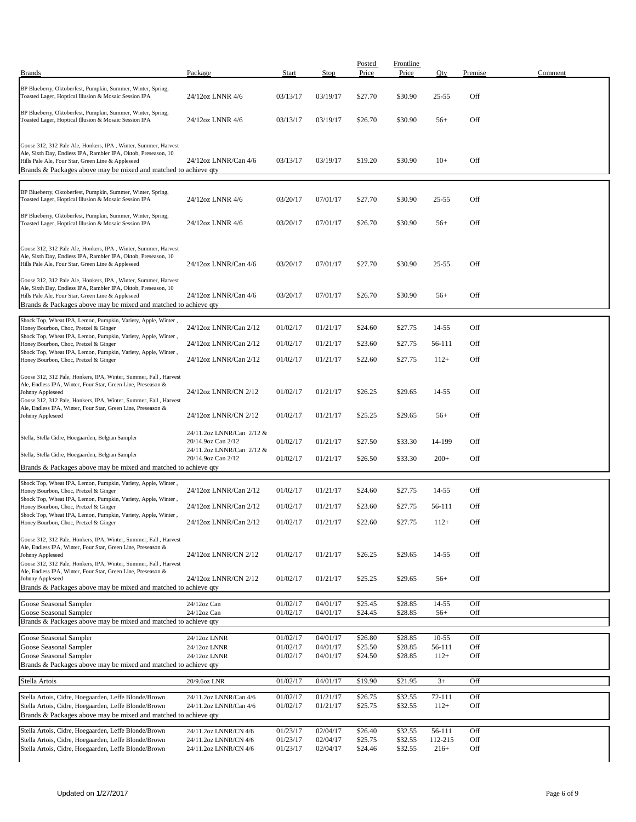| <b>Brands</b>                                                                                                                                                                                                                                                                            | Package                                          | Start                | Stop                 | Posted<br>Price    | <b>Frontline</b><br>Price | Qty                 | Premise    | Comment |
|------------------------------------------------------------------------------------------------------------------------------------------------------------------------------------------------------------------------------------------------------------------------------------------|--------------------------------------------------|----------------------|----------------------|--------------------|---------------------------|---------------------|------------|---------|
|                                                                                                                                                                                                                                                                                          |                                                  |                      |                      |                    |                           |                     |            |         |
| BP Blueberry, Oktoberfest, Pumpkin, Summer, Winter, Spring,<br>Toasted Lager, Hoptical Illusion & Mosaic Session IPA                                                                                                                                                                     | 24/12oz LNNR 4/6                                 | 03/13/17             | 03/19/17             | \$27.70            | \$30.90                   | $25 - 55$           | Off        |         |
| BP Blueberry, Oktoberfest, Pumpkin, Summer, Winter, Spring,<br>Toasted Lager, Hoptical Illusion & Mosaic Session IPA                                                                                                                                                                     | 24/12oz LNNR 4/6                                 | 03/13/17             | 03/19/17             | \$26.70            | \$30.90                   | $56+$               | Off        |         |
| Goose 312, 312 Pale Ale, Honkers, IPA, Winter, Summer, Harvest<br>Ale, Sixth Day, Endless IPA, Rambler IPA, Oktob, Preseason, 10<br>Hills Pale Ale, Four Star, Green Line & Appleseed<br>Brands & Packages above may be mixed and matched to achieve qty                                 | 24/12oz LNNR/Can 4/6                             | 03/13/17             | 03/19/17             | \$19.20            | \$30.90                   | $10+$               | Off        |         |
| BP Blueberry, Oktoberfest, Pumpkin, Summer, Winter, Spring,<br>Toasted Lager, Hoptical Illusion & Mosaic Session IPA                                                                                                                                                                     | 24/12oz LNNR 4/6                                 | 03/20/17             | 07/01/17             | \$27.70            | \$30.90                   | $25 - 55$           | Off        |         |
| BP Blueberry, Oktoberfest, Pumpkin, Summer, Winter, Spring,<br>Toasted Lager, Hoptical Illusion & Mosaic Session IPA                                                                                                                                                                     | 24/12oz LNNR 4/6                                 | 03/20/17             | 07/01/17             | \$26.70            | \$30.90                   | $56+$               | Off        |         |
| Goose 312, 312 Pale Ale, Honkers, IPA, Winter, Summer, Harvest<br>Ale, Sixth Day, Endless IPA, Rambler IPA, Oktob, Preseason, 10<br>Hills Pale Ale, Four Star, Green Line & Appleseed                                                                                                    | 24/12oz LNNR/Can 4/6                             | 03/20/17             | 07/01/17             | \$27.70            | \$30.90                   | $25 - 55$           | Off        |         |
| Goose 312, 312 Pale Ale, Honkers, IPA, Winter, Summer, Harvest<br>Ale, Sixth Day, Endless IPA, Rambler IPA, Oktob, Preseason, 10<br>Hills Pale Ale, Four Star, Green Line & Appleseed<br>Brands & Packages above may be mixed and matched to achieve qty                                 | 24/12oz LNNR/Can 4/6                             | 03/20/17             | 07/01/17             | \$26.70            | \$30.90                   | $56+$               | Off        |         |
| Shock Top, Wheat IPA, Lemon, Pumpkin, Variety, Apple, Winter,<br>Honey Bourbon, Choc, Pretzel & Ginger                                                                                                                                                                                   | 24/12oz LNNR/Can 2/12                            | 01/02/17             | 01/21/17             | \$24.60            | \$27.75                   | 14-55               | Off        |         |
| Shock Top, Wheat IPA, Lemon, Pumpkin, Variety, Apple, Winter,<br>Honey Bourbon, Choc, Pretzel & Ginger                                                                                                                                                                                   | 24/12oz LNNR/Can 2/12                            | 01/02/17             | 01/21/17             | \$23.60            | \$27.75                   | 56-111              | Off        |         |
| Shock Top, Wheat IPA, Lemon, Pumpkin, Variety, Apple, Winter,<br>Honey Bourbon, Choc, Pretzel & Ginger                                                                                                                                                                                   | 24/12oz LNNR/Can 2/12                            | 01/02/17             | 01/21/17             | \$22.60            | \$27.75                   | $112+$              | Off        |         |
| Goose 312, 312 Pale, Honkers, IPA, Winter, Summer, Fall, Harvest<br>Ale, Endless IPA, Winter, Four Star, Green Line, Preseason &<br>Johnny Appleseed<br>Goose 312, 312 Pale, Honkers, IPA, Winter, Summer, Fall, Harvest<br>Ale, Endless IPA, Winter, Four Star, Green Line, Preseason & | 24/12oz LNNR/CN 2/12                             | 01/02/17             | 01/21/17             | \$26.25            | \$29.65                   | 14-55               | Off        |         |
| Johnny Appleseed                                                                                                                                                                                                                                                                         | 24/12oz LNNR/CN 2/12                             | 01/02/17             | 01/21/17             | \$25.25            | \$29.65                   | $56+$               | Off        |         |
| Stella, Stella Cidre, Hoegaarden, Belgian Sampler                                                                                                                                                                                                                                        | 24/11.2oz LNNR/Can 2/12 &<br>20/14.9oz Can 2/12  | 01/02/17             | 01/21/17             | \$27.50            | \$33.30                   | 14-199              | Off        |         |
| Stella, Stella Cidre, Hoegaarden, Belgian Sampler<br>Brands & Packages above may be mixed and matched to achieve qty                                                                                                                                                                     | 24/11.2oz LNNR/Can 2/12 &<br>20/14.9oz Can 2/12  | 01/02/17             | 01/21/17             | \$26.50            | \$33.30                   | $200+$              | Off        |         |
| Shock Top, Wheat IPA, Lemon, Pumpkin, Variety, Apple, Winter,                                                                                                                                                                                                                            |                                                  |                      |                      |                    |                           |                     |            |         |
| Honey Bourbon, Choc, Pretzel & Ginger<br>Shock Top, Wheat IPA, Lemon, Pumpkin, Variety, Apple, Winter,                                                                                                                                                                                   | 24/12oz LNNR/Can 2/12                            | 01/02/17             | 01/21/17             | \$24.60            | \$27.75                   | 14-55               | Off        |         |
| Honey Bourbon, Choc, Pretzel & Ginger<br>Shock Top, Wheat IPA, Lemon, Pumpkin, Variety, Apple, Winter,                                                                                                                                                                                   | 24/12oz LNNR/Can 2/12                            | 01/02/17             | 01/21/17             | \$23.60            | \$27.75                   | 56-111              | Off        |         |
| Honey Bourbon, Choc, Pretzel & Ginger                                                                                                                                                                                                                                                    | 24/12oz LNNR/Can 2/12                            | 01/02/17             | 01/21/17             | \$22.60            | \$27.75                   | $112+$              | Off        |         |
| Goose 312, 312 Pale, Honkers, IPA, Winter, Summer, Fall, Harvest<br>Ale, Endless IPA, Winter, Four Star, Green Line, Preseason &<br>Johnny Appleseed<br>Goose 312, 312 Pale, Honkers, IPA, Winter, Summer, Fall, Harvest                                                                 | 24/12oz LNNR/CN 2/12                             | 01/02/17             | 01/21/17             | \$26.25            | \$29.65                   | 14-55               | Off        |         |
| Ale, Endless IPA, Winter, Four Star, Green Line, Preseason &<br>Johnny Appleseed<br>Brands & Packages above may be mixed and matched to achieve qty                                                                                                                                      | 24/12oz LNNR/CN 2/12                             | 01/02/17             | 01/21/17             | \$25.25            | \$29.65                   | $56+$               | Off        |         |
| Goose Seasonal Sampler                                                                                                                                                                                                                                                                   | 24/12oz Can                                      | 01/02/17             | 04/01/17             | \$25.45            | \$28.85                   | $14 - 55$           | Off        |         |
| Goose Seasonal Sampler                                                                                                                                                                                                                                                                   | 24/12oz Can                                      | 01/02/17             | 04/01/17             | \$24.45            | \$28.85                   | $56+$               | Off        |         |
| Brands & Packages above may be mixed and matched to achieve qty                                                                                                                                                                                                                          |                                                  |                      |                      |                    |                           |                     |            |         |
| Goose Seasonal Sampler<br>Goose Seasonal Sampler                                                                                                                                                                                                                                         | 24/12oz LNNR<br>24/12oz LNNR                     | 01/02/17<br>01/02/17 | 04/01/17<br>04/01/17 | \$26.80<br>\$25.50 | \$28.85<br>\$28.85        | $10 - 55$<br>56-111 | Off<br>Off |         |
| Goose Seasonal Sampler                                                                                                                                                                                                                                                                   | 24/12oz LNNR                                     | 01/02/17             | 04/01/17             | \$24.50            | \$28.85                   | $112+$              | Off        |         |
| Brands & Packages above may be mixed and matched to achieve qty                                                                                                                                                                                                                          |                                                  |                      |                      |                    |                           |                     |            |         |
| Stella Artois                                                                                                                                                                                                                                                                            | 20/9.6oz LNR                                     | 01/02/17             | 04/01/17             | \$19.90            | \$21.95                   | $3+$                | Off        |         |
| Stella Artois, Cidre, Hoegaarden, Leffe Blonde/Brown<br>Stella Artois, Cidre, Hoegaarden, Leffe Blonde/Brown<br>Brands & Packages above may be mixed and matched to achieve qty                                                                                                          | 24/11.2oz LNNR/Can 4/6<br>24/11.2oz LNNR/Can 4/6 | 01/02/17<br>01/02/17 | 01/21/17<br>01/21/17 | \$26.75<br>\$25.75 | \$32.55<br>\$32.55        | 72-111<br>$112+$    | Off<br>Off |         |
| Stella Artois, Cidre, Hoegaarden, Leffe Blonde/Brown                                                                                                                                                                                                                                     | 24/11.2oz LNNR/CN 4/6                            | 01/23/17             | 02/04/17             | \$26.40            | \$32.55                   | 56-111              | Off        |         |
| Stella Artois, Cidre, Hoegaarden, Leffe Blonde/Brown<br>Stella Artois, Cidre, Hoegaarden, Leffe Blonde/Brown                                                                                                                                                                             | 24/11.2oz LNNR/CN 4/6<br>24/11.2oz LNNR/CN 4/6   | 01/23/17<br>01/23/17 | 02/04/17<br>02/04/17 | \$25.75<br>\$24.46 | \$32.55<br>\$32.55        | 112-215<br>$216+$   | Off<br>Off |         |
|                                                                                                                                                                                                                                                                                          |                                                  |                      |                      |                    |                           |                     |            |         |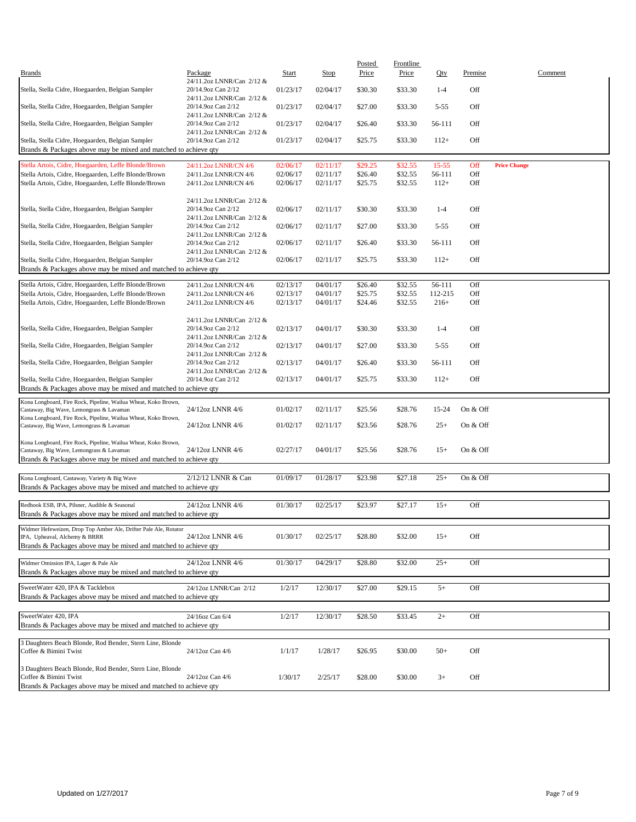| <b>Brands</b>                                                                                                        | Package                                         | Start                | <b>Stop</b>          | Posted<br>Price    | Frontline<br>Price | Qty              | Premise    |                     | Comment |
|----------------------------------------------------------------------------------------------------------------------|-------------------------------------------------|----------------------|----------------------|--------------------|--------------------|------------------|------------|---------------------|---------|
| Stella, Stella Cidre, Hoegaarden, Belgian Sampler                                                                    | 24/11.2oz LNNR/Can 2/12 &<br>20/14.9oz Can 2/12 | 01/23/17             | 02/04/17             | \$30.30            | \$33.30            | $1 - 4$          | Off        |                     |         |
| Stella, Stella Cidre, Hoegaarden, Belgian Sampler                                                                    | 24/11.2oz LNNR/Can 2/12 &<br>20/14.9oz Can 2/12 | 01/23/17             | 02/04/17             | \$27.00            | \$33.30            | $5 - 55$         | Off        |                     |         |
| Stella, Stella Cidre, Hoegaarden, Belgian Sampler                                                                    | 24/11.2oz LNNR/Can 2/12 &<br>20/14.9oz Can 2/12 | 01/23/17             | 02/04/17             | \$26.40            | \$33.30            | 56-111           | Off        |                     |         |
| Stella, Stella Cidre, Hoegaarden, Belgian Sampler<br>Brands & Packages above may be mixed and matched to achieve qty | 24/11.2oz LNNR/Can 2/12 &<br>20/14.9oz Can 2/12 | 01/23/17             | 02/04/17             | \$25.75            | \$33.30            | $112+$           | Off        |                     |         |
|                                                                                                                      |                                                 |                      |                      |                    |                    |                  |            |                     |         |
| Stella Artois, Cidre, Hoegaarden, Leffe Blonde/Brown                                                                 | 24/11.2oz LNNR/CN 4/6                           | 02/06/17             | 02/11/17             | \$29.25            | \$32.55            | $15 - 55$        | Off        | <b>Price Change</b> |         |
| Stella Artois, Cidre, Hoegaarden, Leffe Blonde/Brown<br>Stella Artois, Cidre, Hoegaarden, Leffe Blonde/Brown         | 24/11.2oz LNNR/CN 4/6<br>24/11.2oz LNNR/CN 4/6  | 02/06/17<br>02/06/17 | 02/11/17<br>02/11/17 | \$26.40<br>\$25.75 | \$32.55<br>\$32.55 | 56-111<br>$112+$ | Off<br>Off |                     |         |
|                                                                                                                      |                                                 |                      |                      |                    |                    |                  |            |                     |         |
| Stella, Stella Cidre, Hoegaarden, Belgian Sampler                                                                    | 24/11.2oz LNNR/Can 2/12 &<br>20/14.9oz Can 2/12 | 02/06/17             | 02/11/17             | \$30.30            | \$33.30            | $1 - 4$          | Off        |                     |         |
|                                                                                                                      | 24/11.2oz LNNR/Can 2/12 &                       |                      |                      |                    |                    |                  |            |                     |         |
| Stella, Stella Cidre, Hoegaarden, Belgian Sampler                                                                    | 20/14.9oz Can 2/12<br>24/11.2oz LNNR/Can 2/12 & | 02/06/17             | 02/11/17             | \$27.00            | \$33.30            | $5 - 55$         | Off        |                     |         |
| Stella, Stella Cidre, Hoegaarden, Belgian Sampler                                                                    | 20/14.9oz Can 2/12<br>24/11.2oz LNNR/Can 2/12 & | 02/06/17             | 02/11/17             | \$26.40            | \$33.30            | 56-111           | Off        |                     |         |
| Stella, Stella Cidre, Hoegaarden, Belgian Sampler                                                                    | 20/14.9oz Can 2/12                              | 02/06/17             | 02/11/17             | \$25.75            | \$33.30            | $112+$           | Off        |                     |         |
| Brands & Packages above may be mixed and matched to achieve qty                                                      |                                                 |                      |                      |                    |                    |                  |            |                     |         |
| Stella Artois, Cidre, Hoegaarden, Leffe Blonde/Brown                                                                 | 24/11.2oz LNNR/CN 4/6                           | 02/13/17             | 04/01/17             | \$26.40            | \$32.55            | 56-111           | Off        |                     |         |
| Stella Artois, Cidre, Hoegaarden, Leffe Blonde/Brown                                                                 | 24/11.2oz LNNR/CN 4/6                           | 02/13/17             | 04/01/17             | \$25.75            | \$32.55            | 112-215          | Off        |                     |         |
| Stella Artois, Cidre, Hoegaarden, Leffe Blonde/Brown                                                                 | 24/11.2oz LNNR/CN 4/6                           | 02/13/17             | 04/01/17             | \$24.46            | \$32.55            | $216+$           | Off        |                     |         |
| Stella, Stella Cidre, Hoegaarden, Belgian Sampler                                                                    | 24/11.2oz LNNR/Can 2/12 &<br>20/14.9oz Can 2/12 | 02/13/17             | 04/01/17             | \$30.30            | \$33.30            | $1 - 4$          | Off        |                     |         |
| Stella, Stella Cidre, Hoegaarden, Belgian Sampler                                                                    | 24/11.2oz LNNR/Can 2/12 &<br>20/14.9oz Can 2/12 | 02/13/17             | 04/01/17             | \$27.00            | \$33.30            | $5 - 55$         | Off        |                     |         |
| Stella, Stella Cidre, Hoegaarden, Belgian Sampler                                                                    | 24/11.2oz LNNR/Can 2/12 &<br>20/14.9oz Can 2/12 | 02/13/17             | 04/01/17             | \$26.40            | \$33.30            | 56-111           | Off        |                     |         |
|                                                                                                                      | 24/11.2oz LNNR/Can 2/12 &                       |                      |                      |                    |                    |                  |            |                     |         |
| Stella, Stella Cidre, Hoegaarden, Belgian Sampler<br>Brands & Packages above may be mixed and matched to achieve qty | 20/14.9oz Can 2/12                              | 02/13/17             | 04/01/17             | \$25.75            | \$33.30            | $112+$           | Off        |                     |         |
| Kona Longboard, Fire Rock, Pipeline, Wailua Wheat, Koko Brown,                                                       |                                                 |                      |                      |                    |                    |                  |            |                     |         |
| Castaway, Big Wave, Lemongrass & Lavaman                                                                             | 24/12oz LNNR 4/6                                | 01/02/17             | 02/11/17             | \$25.56            | \$28.76            | 15-24            | On & Off   |                     |         |
| Kona Longboard, Fire Rock, Pipeline, Wailua Wheat, Koko Brown,<br>Castaway, Big Wave, Lemongrass & Lavaman           | 24/12oz LNNR 4/6                                | 01/02/17             | 02/11/17             | \$23.56            | \$28.76            | $25+$            | On & Off   |                     |         |
| Kona Longboard, Fire Rock, Pipeline, Wailua Wheat, Koko Brown,                                                       |                                                 |                      |                      |                    |                    |                  |            |                     |         |
| Castaway, Big Wave, Lemongrass & Lavaman                                                                             | 24/12oz LNNR 4/6                                | 02/27/17             | 04/01/17             | \$25.56            | \$28.76            | $15+$            | On & Off   |                     |         |
| Brands & Packages above may be mixed and matched to achieve qty                                                      |                                                 |                      |                      |                    |                    |                  |            |                     |         |
| Kona Longboard, Castaway, Variety & Big Wave                                                                         | 2/12/12 LNNR & Can                              | 01/09/17             | 01/28/17             | \$23.98            | \$27.18            | $25+$            | On & Off   |                     |         |
| Brands & Packages above may be mixed and matched to achieve qty                                                      |                                                 |                      |                      |                    |                    |                  |            |                     |         |
| Redhook ESB, IPA, Pilsner, Audible & Seasonal<br>Brands & Packages above may be mixed and matched to achieve qty     | 24/12oz LNNR 4/6                                | 01/30/17             | 02/25/17             | \$23.97            | \$27.17            | $15+$            | Off        |                     |         |
|                                                                                                                      |                                                 |                      |                      |                    |                    |                  |            |                     |         |
| Widmer Hefeweizen, Drop Top Amber Ale, Drifter Pale Ale, Rotator<br>IPA, Upheaval, Alchemy & BRRR                    | 24/12oz LNNR 4/6                                | 01/30/17             | 02/25/17             | \$28.80            | \$32.00            | $15+$            | Off        |                     |         |
| Brands & Packages above may be mixed and matched to achieve qty                                                      |                                                 |                      |                      |                    |                    |                  |            |                     |         |
| Widmer Omission IPA, Lager & Pale Ale<br>Brands & Packages above may be mixed and matched to achieve qty             | 24/12oz LNNR 4/6                                | 01/30/17             | 04/29/17             | \$28.80            | \$32.00            | $25+$            | Off        |                     |         |
| SweetWater 420, IPA & Tacklebox                                                                                      |                                                 |                      |                      |                    |                    |                  |            |                     |         |
| Brands & Packages above may be mixed and matched to achieve qty                                                      | 24/12oz LNNR/Can 2/12                           | 1/2/17               | 12/30/17             | \$27.00            | \$29.15            | $5+$             | Off        |                     |         |
|                                                                                                                      |                                                 |                      |                      |                    |                    |                  |            |                     |         |
| SweetWater 420, IPA<br>Brands & Packages above may be mixed and matched to achieve qty                               | 24/16oz Can 6/4                                 | 1/2/17               | 12/30/17             | \$28.50            | \$33.45            | $2+$             | Off        |                     |         |
|                                                                                                                      |                                                 |                      |                      |                    |                    |                  |            |                     |         |
| 3 Daughters Beach Blonde, Rod Bender, Stern Line, Blonde<br>Coffee & Bimini Twist                                    | 24/12oz Can 4/6                                 | 1/1/17               | 1/28/17              | \$26.95            | \$30.00            | $50+$            | Off        |                     |         |
| 3 Daughters Beach Blonde, Rod Bender, Stern Line, Blonde                                                             |                                                 |                      |                      |                    |                    |                  |            |                     |         |
| Coffee & Bimini Twist<br>Brands & Packages above may be mixed and matched to achieve qty                             | 24/12oz Can 4/6                                 | 1/30/17              | 2/25/17              | \$28.00            | \$30.00            | $3+$             | Off        |                     |         |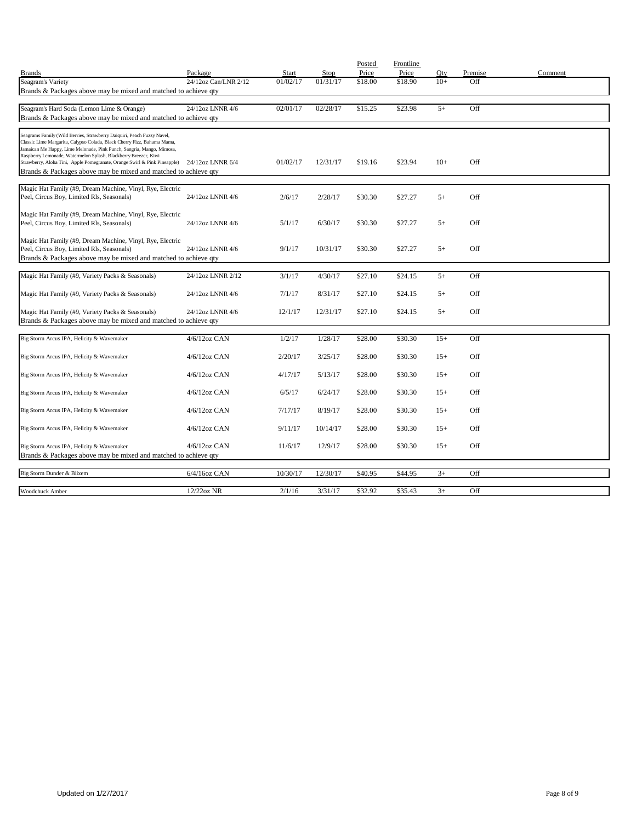|                                                                                                                                                                                                                                                                                                                                                                                             |                      |          |          | Posted  | Frontline |       |         |         |
|---------------------------------------------------------------------------------------------------------------------------------------------------------------------------------------------------------------------------------------------------------------------------------------------------------------------------------------------------------------------------------------------|----------------------|----------|----------|---------|-----------|-------|---------|---------|
| <b>Brands</b>                                                                                                                                                                                                                                                                                                                                                                               | Package              | Start    | Stop     | Price   | Price     | Qty   | Premise | Comment |
| Seagram's Variety                                                                                                                                                                                                                                                                                                                                                                           | 24/12oz Can/LNR 2/12 | 01/02/17 | 01/31/17 | \$18.00 | \$18.90   | $10+$ | Off     |         |
| Brands & Packages above may be mixed and matched to achieve qty                                                                                                                                                                                                                                                                                                                             |                      |          |          |         |           |       |         |         |
|                                                                                                                                                                                                                                                                                                                                                                                             |                      |          |          |         |           |       |         |         |
| Seagram's Hard Soda (Lemon Lime & Orange)                                                                                                                                                                                                                                                                                                                                                   | 24/12oz LNNR 4/6     | 02/01/17 | 02/28/17 | \$15.25 | \$23.98   | $5+$  | Off     |         |
| Brands & Packages above may be mixed and matched to achieve qty                                                                                                                                                                                                                                                                                                                             |                      |          |          |         |           |       |         |         |
| Seagrams Family (Wild Berries, Strawberry Daiquiri, Peach Fuzzy Navel,<br>Classic Lime Margarita, Calypso Colada, Black Cherry Fizz, Bahama Mama,<br>Jamaican Me Happy, Lime Melonade, Pink Punch, Sangria, Mango, Mimosa,<br>Raspberry Lemonade, Watermelon Splash, Blackberry Breezer, Kiwi<br>Strawberry, Aloha Tini, Apple Pomegranate, Orange Swirl & Pink Pineapple) 24/12oz LNNR 6/4 |                      | 01/02/17 | 12/31/17 | \$19.16 | \$23.94   | $10+$ | Off     |         |
| Brands & Packages above may be mixed and matched to achieve qty                                                                                                                                                                                                                                                                                                                             |                      |          |          |         |           |       |         |         |
|                                                                                                                                                                                                                                                                                                                                                                                             |                      |          |          |         |           |       |         |         |
| Magic Hat Family (#9, Dream Machine, Vinyl, Rye, Electric<br>Peel, Circus Boy, Limited Rls, Seasonals)                                                                                                                                                                                                                                                                                      | 24/12oz LNNR 4/6     | 2/6/17   | 2/28/17  | \$30.30 | \$27.27   | $5+$  | Off     |         |
| Magic Hat Family (#9, Dream Machine, Vinyl, Rye, Electric<br>Peel, Circus Boy, Limited Rls, Seasonals)                                                                                                                                                                                                                                                                                      | 24/12oz LNNR 4/6     | 5/1/17   | 6/30/17  | \$30.30 | \$27.27   | $5+$  | Off     |         |
| Magic Hat Family (#9, Dream Machine, Vinyl, Rye, Electric<br>Peel, Circus Boy, Limited Rls, Seasonals)<br>Brands & Packages above may be mixed and matched to achieve qty                                                                                                                                                                                                                   | 24/12oz LNNR 4/6     | 9/1/17   | 10/31/17 | \$30.30 | \$27.27   | $5+$  | Off     |         |
|                                                                                                                                                                                                                                                                                                                                                                                             |                      |          |          |         |           |       |         |         |
| Magic Hat Family (#9, Variety Packs & Seasonals)                                                                                                                                                                                                                                                                                                                                            | 24/12oz LNNR 2/12    | 3/1/17   | 4/30/17  | \$27.10 | \$24.15   | $5+$  | Off     |         |
| Magic Hat Family (#9, Variety Packs & Seasonals)                                                                                                                                                                                                                                                                                                                                            | 24/12oz LNNR 4/6     | 7/1/17   | 8/31/17  | \$27.10 | \$24.15   | $5+$  | Off     |         |
| Magic Hat Family (#9, Variety Packs & Seasonals)                                                                                                                                                                                                                                                                                                                                            | 24/12oz LNNR 4/6     | 12/1/17  | 12/31/17 | \$27.10 | \$24.15   | $5+$  | Off     |         |
| Brands & Packages above may be mixed and matched to achieve qty                                                                                                                                                                                                                                                                                                                             |                      |          |          |         |           |       |         |         |
| Big Storm Arcus IPA, Helicity & Wavemaker                                                                                                                                                                                                                                                                                                                                                   | 4/6/12oz CAN         | 1/2/17   | 1/28/17  | \$28.00 | \$30.30   | $15+$ | Off     |         |
| Big Storm Arcus IPA, Helicity & Wavemaker                                                                                                                                                                                                                                                                                                                                                   | $4/6/12$ oz CAN      | 2/20/17  | 3/25/17  | \$28.00 | \$30.30   | $15+$ | Off     |         |
| Big Storm Arcus IPA, Helicity & Wavemaker                                                                                                                                                                                                                                                                                                                                                   | $4/6/12$ oz CAN      | 4/17/17  | 5/13/17  | \$28.00 | \$30.30   | $15+$ | Off     |         |
|                                                                                                                                                                                                                                                                                                                                                                                             |                      |          |          |         |           |       |         |         |
| Big Storm Arcus IPA, Helicity & Wavemaker                                                                                                                                                                                                                                                                                                                                                   | $4/6/12$ oz CAN      | 6/5/17   | 6/24/17  | \$28.00 | \$30.30   | $15+$ | Off     |         |
| Big Storm Arcus IPA, Helicity & Wavemaker                                                                                                                                                                                                                                                                                                                                                   | $4/6/12$ oz CAN      | 7/17/17  | 8/19/17  | \$28.00 | \$30.30   | $15+$ | Off     |         |
| Big Storm Arcus IPA, Helicity & Wavemaker                                                                                                                                                                                                                                                                                                                                                   | $4/6/12$ oz CAN      | 9/11/17  | 10/14/17 | \$28.00 | \$30.30   | $15+$ | Off     |         |
| Big Storm Arcus IPA, Helicity & Wavemaker                                                                                                                                                                                                                                                                                                                                                   | $4/6/12$ oz CAN      | 11/6/17  | 12/9/17  | \$28.00 | \$30.30   | $15+$ | Off     |         |
| Brands & Packages above may be mixed and matched to achieve qty                                                                                                                                                                                                                                                                                                                             |                      |          |          |         |           |       |         |         |
|                                                                                                                                                                                                                                                                                                                                                                                             |                      |          |          |         |           |       |         |         |
| Big Storm Dunder & Blixem                                                                                                                                                                                                                                                                                                                                                                   | 6/4/16oz CAN         | 10/30/17 | 12/30/17 | \$40.95 | \$44.95   | $3+$  | Off     |         |
| Woodchuck Amber                                                                                                                                                                                                                                                                                                                                                                             | $12/22$ oz NR        | 2/1/16   | 3/31/17  | \$32.92 | \$35.43   | $3+$  | Off     |         |
|                                                                                                                                                                                                                                                                                                                                                                                             |                      |          |          |         |           |       |         |         |